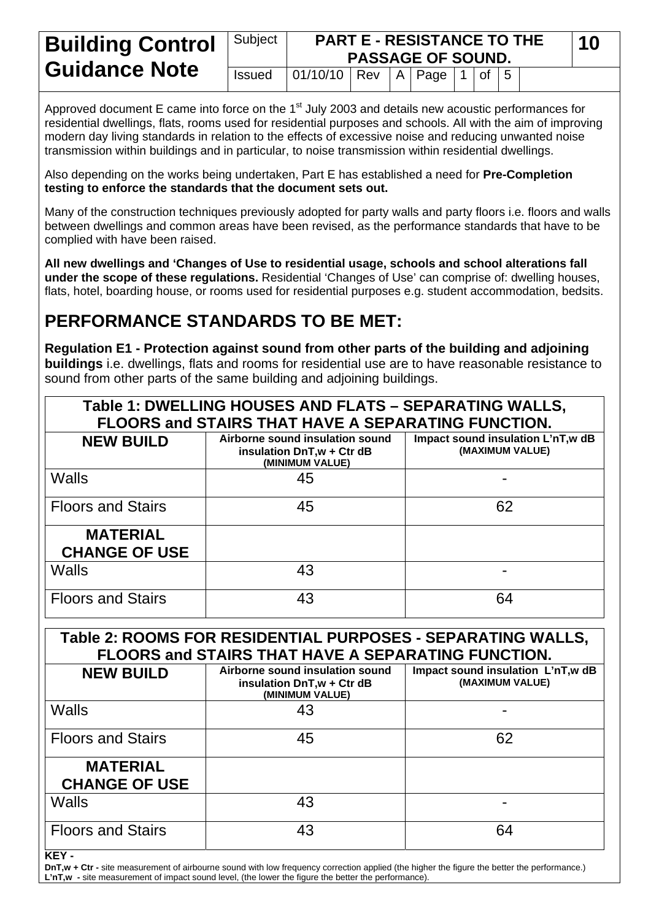| <b>Building Control</b> | Subject       | <b>PART E - RESISTANCE TO THE</b><br><b>PASSAGE OF SOUND.</b> |  |  |  |  |  |  |  | 10 |
|-------------------------|---------------|---------------------------------------------------------------|--|--|--|--|--|--|--|----|
| <b>Guidance Note</b>    | <b>Issued</b> | $ 01/10/10 $ Rev   A   Page   1   of   5                      |  |  |  |  |  |  |  |    |

Approved document E came into force on the  $1<sup>st</sup>$  July 2003 and details new acoustic performances for residential dwellings, flats, rooms used for residential purposes and schools. All with the aim of improving modern day living standards in relation to the effects of excessive noise and reducing unwanted noise transmission within buildings and in particular, to noise transmission within residential dwellings.

Also depending on the works being undertaken, Part E has established a need for **Pre-Completion testing to enforce the standards that the document sets out.** 

Many of the construction techniques previously adopted for party walls and party floors i.e. floors and walls between dwellings and common areas have been revised, as the performance standards that have to be complied with have been raised.

**All new dwellings and 'Changes of Use to residential usage, schools and school alterations fall under the scope of these regulations.** Residential 'Changes of Use' can comprise of: dwelling houses, flats, hotel, boarding house, or rooms used for residential purposes e.g. student accommodation, bedsits.

# **PERFORMANCE STANDARDS TO BE MET:**

**Regulation E1 - Protection against sound from other parts of the building and adjoining buildings** i.e. dwellings, flats and rooms for residential use are to have reasonable resistance to sound from other parts of the same building and adjoining buildings.

|                                                                                                                   | Table 1: DWELLING HOUSES AND FLATS - SEPARATING WALLS,                                                             |                                                      |  |  |  |  |  |  |  |
|-------------------------------------------------------------------------------------------------------------------|--------------------------------------------------------------------------------------------------------------------|------------------------------------------------------|--|--|--|--|--|--|--|
| <b>NEW BUILD</b>                                                                                                  | FLOORS and STAIRS THAT HAVE A SEPARATING FUNCTION.<br>Airborne sound insulation sound<br>insulation DnT,w + Ctr dB | Impact sound insulation L'nT,w dB<br>(MAXIMUM VALUE) |  |  |  |  |  |  |  |
|                                                                                                                   | (MINIMUM VALUE)                                                                                                    |                                                      |  |  |  |  |  |  |  |
| <b>Walls</b>                                                                                                      | 45                                                                                                                 |                                                      |  |  |  |  |  |  |  |
| <b>Floors and Stairs</b>                                                                                          | 45                                                                                                                 | 62                                                   |  |  |  |  |  |  |  |
| <b>MATERIAL</b>                                                                                                   |                                                                                                                    |                                                      |  |  |  |  |  |  |  |
| <b>CHANGE OF USE</b>                                                                                              |                                                                                                                    |                                                      |  |  |  |  |  |  |  |
| <b>Walls</b>                                                                                                      | 43                                                                                                                 |                                                      |  |  |  |  |  |  |  |
| <b>Floors and Stairs</b>                                                                                          | 43                                                                                                                 | 64                                                   |  |  |  |  |  |  |  |
| Table 2: ROOMS FOR RESIDENTIAL PURPOSES - SEPARATING WALLS,<br>FLOORS and STAIRS THAT HAVE A SEPARATING FUNCTION. |                                                                                                                    |                                                      |  |  |  |  |  |  |  |
|                                                                                                                   |                                                                                                                    |                                                      |  |  |  |  |  |  |  |
| <b>NEW BUILD</b>                                                                                                  | Airborne sound insulation sound<br>insulation DnT,w + Ctr dB<br>(MINIMUM VALUE)                                    | Impact sound insulation L'nT,w dB<br>(MAXIMUM VALUE) |  |  |  |  |  |  |  |
| <b>Walls</b>                                                                                                      | 43                                                                                                                 |                                                      |  |  |  |  |  |  |  |
| <b>Floors and Stairs</b>                                                                                          | 45                                                                                                                 | 62                                                   |  |  |  |  |  |  |  |
| <b>MATERIAL</b><br><b>CHANGE OF USE</b>                                                                           |                                                                                                                    |                                                      |  |  |  |  |  |  |  |
| Walls                                                                                                             | 43                                                                                                                 |                                                      |  |  |  |  |  |  |  |

**KEY -** 

**DnT,w + Ctr** - site measurement of airbourne sound with low frequency correction applied (the higher the figure the better the performance.) **L'nT,w -** site measurement of impact sound level, (the lower the figure the better the performance).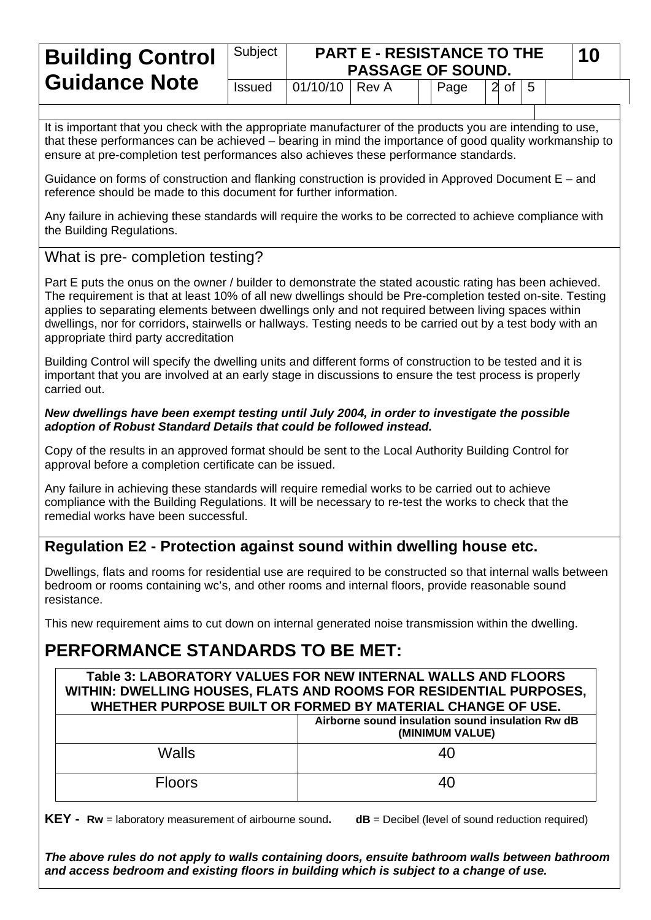# Subject **PART E - RESISTANCE TO THE PART E - RESISTANCE TO THE 10 PASSAGE OF SOUND. Guidance Note Issued 01/10/10 Rev A I Page 2 of 5**

It is important that you check with the appropriate manufacturer of the products you are intending to use, that these performances can be achieved – bearing in mind the importance of good quality workmanship to ensure at pre-completion test performances also achieves these performance standards.

Guidance on forms of construction and flanking construction is provided in Approved Document E – and reference should be made to this document for further information.

Any failure in achieving these standards will require the works to be corrected to achieve compliance with the Building Regulations.

## What is pre- completion testing?

Part E puts the onus on the owner / builder to demonstrate the stated acoustic rating has been achieved. The requirement is that at least 10% of all new dwellings should be Pre-completion tested on-site. Testing applies to separating elements between dwellings only and not required between living spaces within dwellings, nor for corridors, stairwells or hallways. Testing needs to be carried out by a test body with an appropriate third party accreditation

Building Control will specify the dwelling units and different forms of construction to be tested and it is important that you are involved at an early stage in discussions to ensure the test process is properly carried out.

### *New dwellings have been exempt testing until July 2004, in order to investigate the possible adoption of Robust Standard Details that could be followed instead.*

Copy of the results in an approved format should be sent to the Local Authority Building Control for approval before a completion certificate can be issued.

Any failure in achieving these standards will require remedial works to be carried out to achieve compliance with the Building Regulations. It will be necessary to re-test the works to check that the remedial works have been successful.

# **Regulation E2 - Protection against sound within dwelling house etc.**

Dwellings, flats and rooms for residential use are required to be constructed so that internal walls between bedroom or rooms containing wc's, and other rooms and internal floors, provide reasonable sound resistance.

This new requirement aims to cut down on internal generated noise transmission within the dwelling.

# **PERFORMANCE STANDARDS TO BE MET:**

**Table 3: LABORATORY VALUES FOR NEW INTERNAL WALLS AND FLOORS WITHIN: DWELLING HOUSES, FLATS AND ROOMS FOR RESIDENTIAL PURPOSES, WHETHER PURPOSE BUILT OR FORMED BY MATERIAL CHANGE OF USE.**

|               | Airborne sound insulation sound insulation Rw dB<br>(MINIMUM VALUE) |  |  |  |  |  |
|---------------|---------------------------------------------------------------------|--|--|--|--|--|
| Walls         | 40                                                                  |  |  |  |  |  |
| <b>Floors</b> | 40 <sup>'</sup>                                                     |  |  |  |  |  |

**KEY - Rw** = laboratory measurement of airbourne sound. dB = Decibel (level of sound reduction required)

*The above rules do not apply to walls containing doors, ensuite bathroom walls between bathroom and access bedroom and existing floors in building which is subject to a change of use.*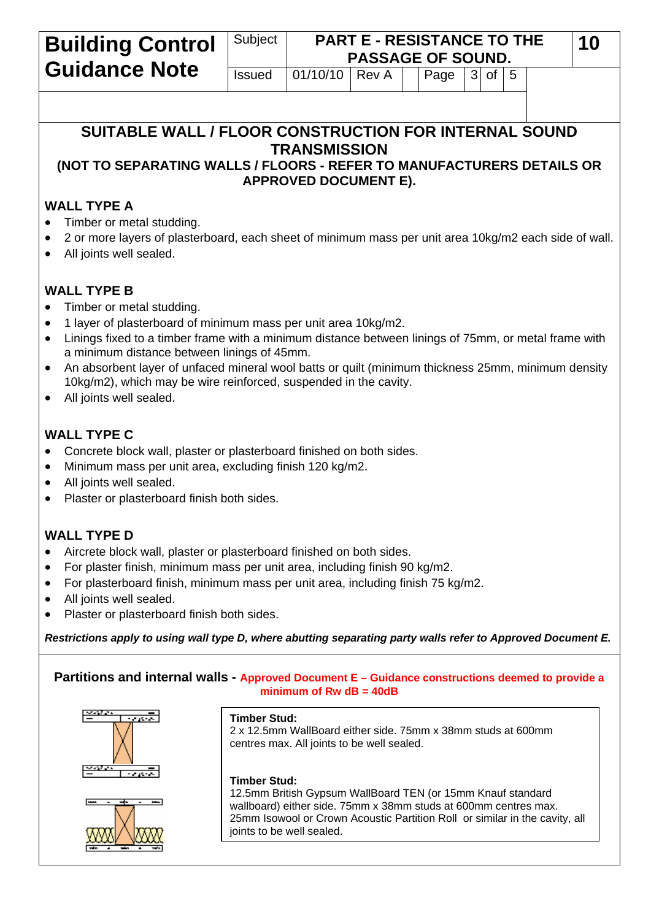| <b>Building Control</b>                                                                                                                                                             | Subject<br><b>PART E - RESISTANCE TO THE</b><br><b>PASSAGE OF SOUND.</b> |                           |       |  |      |  |                       |  |  | 10 |  |
|-------------------------------------------------------------------------------------------------------------------------------------------------------------------------------------|--------------------------------------------------------------------------|---------------------------|-------|--|------|--|-----------------------|--|--|----|--|
| <b>Guidance Note</b>                                                                                                                                                                | <b>Issued</b>                                                            | 01/10/10                  | Rev A |  | Page |  | $3$ of $\overline{5}$ |  |  |    |  |
|                                                                                                                                                                                     |                                                                          |                           |       |  |      |  |                       |  |  |    |  |
| SUITABLE WALL / FLOOR CONSTRUCTION FOR INTERNAL SOUND                                                                                                                               |                                                                          |                           |       |  |      |  |                       |  |  |    |  |
|                                                                                                                                                                                     |                                                                          |                           |       |  |      |  |                       |  |  |    |  |
| <b>TRANSMISSION</b><br>(NOT TO SEPARATING WALLS / FLOORS - REFER TO MANUFACTURERS DETAILS OR<br><b>APPROVED DOCUMENT E).</b>                                                        |                                                                          |                           |       |  |      |  |                       |  |  |    |  |
|                                                                                                                                                                                     |                                                                          |                           |       |  |      |  |                       |  |  |    |  |
| <b>WALL TYPE A</b><br>Timber or metal studding.                                                                                                                                     |                                                                          |                           |       |  |      |  |                       |  |  |    |  |
| 2 or more layers of plasterboard, each sheet of minimum mass per unit area 10kg/m2 each side of wall.                                                                               |                                                                          |                           |       |  |      |  |                       |  |  |    |  |
| All joints well sealed.                                                                                                                                                             |                                                                          |                           |       |  |      |  |                       |  |  |    |  |
|                                                                                                                                                                                     |                                                                          |                           |       |  |      |  |                       |  |  |    |  |
| <b>WALL TYPE B</b>                                                                                                                                                                  |                                                                          |                           |       |  |      |  |                       |  |  |    |  |
| Timber or metal studding.<br>1 layer of plasterboard of minimum mass per unit area 10kg/m2.<br>$\bullet$                                                                            |                                                                          |                           |       |  |      |  |                       |  |  |    |  |
| Linings fixed to a timber frame with a minimum distance between linings of 75mm, or metal frame with<br>$\bullet$                                                                   |                                                                          |                           |       |  |      |  |                       |  |  |    |  |
| a minimum distance between linings of 45mm.                                                                                                                                         |                                                                          |                           |       |  |      |  |                       |  |  |    |  |
| An absorbent layer of unfaced mineral wool batts or quilt (minimum thickness 25mm, minimum density<br>$\bullet$<br>10kg/m2), which may be wire reinforced, suspended in the cavity. |                                                                          |                           |       |  |      |  |                       |  |  |    |  |
| All joints well sealed.                                                                                                                                                             |                                                                          |                           |       |  |      |  |                       |  |  |    |  |
|                                                                                                                                                                                     |                                                                          |                           |       |  |      |  |                       |  |  |    |  |
| <b>WALL TYPE C</b>                                                                                                                                                                  |                                                                          |                           |       |  |      |  |                       |  |  |    |  |
| Concrete block wall, plaster or plasterboard finished on both sides.                                                                                                                |                                                                          |                           |       |  |      |  |                       |  |  |    |  |
| Minimum mass per unit area, excluding finish 120 kg/m2.<br>$\bullet$<br>All joints well sealed.                                                                                     |                                                                          |                           |       |  |      |  |                       |  |  |    |  |
| $\bullet$<br>Plaster or plasterboard finish both sides.                                                                                                                             |                                                                          |                           |       |  |      |  |                       |  |  |    |  |
|                                                                                                                                                                                     |                                                                          |                           |       |  |      |  |                       |  |  |    |  |
| <b>WALL TYPE D</b>                                                                                                                                                                  |                                                                          |                           |       |  |      |  |                       |  |  |    |  |
|                                                                                                                                                                                     | Aircrete block wall, plaster or plasterboard finished on both sides.     |                           |       |  |      |  |                       |  |  |    |  |
| For plaster finish, minimum mass per unit area, including finish 90 kg/m2.<br>$\bullet$<br>For plasterboard finish, minimum mass per unit area, including finish 75 kg/m2.          |                                                                          |                           |       |  |      |  |                       |  |  |    |  |
| $\bullet$<br>All joints well sealed.                                                                                                                                                |                                                                          |                           |       |  |      |  |                       |  |  |    |  |
| Plaster or plasterboard finish both sides.                                                                                                                                          |                                                                          |                           |       |  |      |  |                       |  |  |    |  |
| Restrictions apply to using wall type D, where abutting separating party walls refer to Approved Document E.                                                                        |                                                                          |                           |       |  |      |  |                       |  |  |    |  |
|                                                                                                                                                                                     |                                                                          |                           |       |  |      |  |                       |  |  |    |  |
| Partitions and internal walls - Approved Document E - Guidance constructions deemed to provide a                                                                                    |                                                                          | minimum of Rw $dB = 40dB$ |       |  |      |  |                       |  |  |    |  |





#### **Timber Stud:**

2 x 12.5mm WallBoard either side. 75mm x 38mm studs at 600mm centres max. All joints to be well sealed.

#### **Timber Stud:**

12.5mm British Gypsum WallBoard TEN (or 15mm Knauf standard wallboard) either side. 75mm x 38mm studs at 600mm centres max. 25mm Isowool or Crown Acoustic Partition Roll or similar in the cavity, all joints to be well sealed.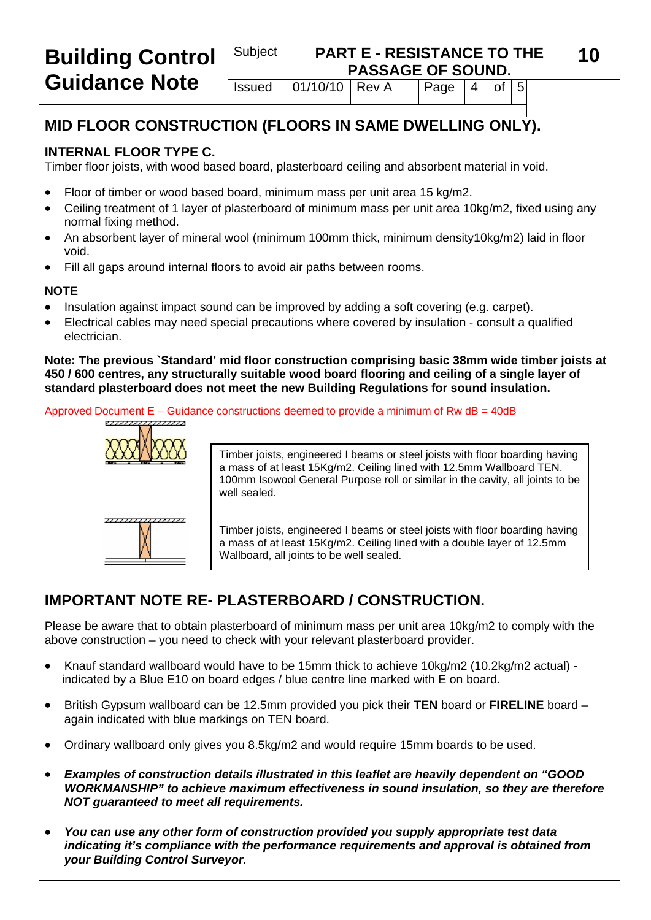#### Subject **PART E - RESISTANCE TO THE PASSAGE OF SOUND. Building Control**  $\vert$  Subject | **PART E - RESISTANCE TO THE** | 10 **Guidance Note** Issued 01/10/10 Rev A Page 4 of 5

# **MID FLOOR CONSTRUCTION (FLOORS IN SAME DWELLING ONLY).**

### **INTERNAL FLOOR TYPE C.**

Timber floor joists, with wood based board, plasterboard ceiling and absorbent material in void.

- Floor of timber or wood based board, minimum mass per unit area 15 kg/m2.
- Ceiling treatment of 1 layer of plasterboard of minimum mass per unit area 10kg/m2, fixed using any normal fixing method.
- An absorbent layer of mineral wool (minimum 100mm thick, minimum density10kg/m2) laid in floor void.
- Fill all gaps around internal floors to avoid air paths between rooms.

### **NOTE**

- Insulation against impact sound can be improved by adding a soft covering (e.g. carpet).
- Electrical cables may need special precautions where covered by insulation consult a qualified electrician.

**Note: The previous `Standard' mid floor construction comprising basic 38mm wide timber joists at 450 / 600 centres, any structurally suitable wood board flooring and ceiling of a single layer of standard plasterboard does not meet the new Building Regulations for sound insulation.** 

Approved Document E – Guidance constructions deemed to provide a minimum of Rw dB = 40dB



Timber joists, engineered I beams or steel joists with floor boarding having a mass of at least 15Kg/m2. Ceiling lined with 12.5mm Wallboard TEN. 100mm Isowool General Purpose roll or similar in the cavity, all joints to be well sealed.

Timber joists, engineered I beams or steel joists with floor boarding having a mass of at least 15Kg/m2. Ceiling lined with a double layer of 12.5mm Wallboard, all joints to be well sealed.

# **IMPORTANT NOTE RE- PLASTERBOARD / CONSTRUCTION.**

Please be aware that to obtain plasterboard of minimum mass per unit area 10kg/m2 to comply with the above construction – you need to check with your relevant plasterboard provider.

- Knauf standard wallboard would have to be 15mm thick to achieve 10kg/m2 (10.2kg/m2 actual) indicated by a Blue E10 on board edges / blue centre line marked with E on board.
- British Gypsum wallboard can be 12.5mm provided you pick their **TEN** board or **FIRELINE** board again indicated with blue markings on TEN board.
- Ordinary wallboard only gives you 8.5kg/m2 and would require 15mm boards to be used.
- *Examples of construction details illustrated in this leaflet are heavily dependent on "GOOD WORKMANSHIP" to achieve maximum effectiveness in sound insulation, so they are therefore NOT guaranteed to meet all requirements.*
- *You can use any other form of construction provided you supply appropriate test data indicating it's compliance with the performance requirements and approval is obtained from your Building Control Surveyor.*